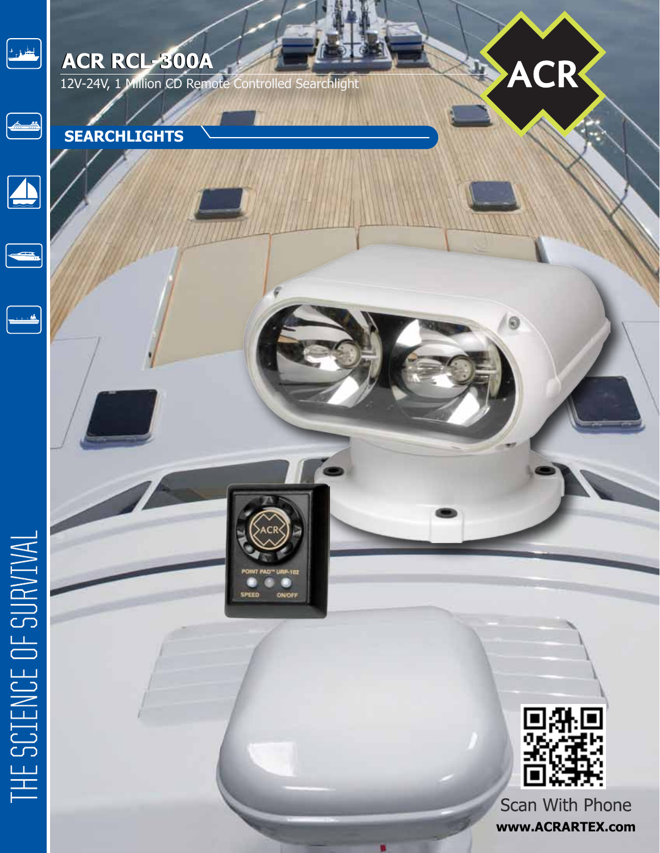

## **ACR RCL-300A**

12V-24V, 1 Million CD Remote Controlled Searchlight

**URP-102** 

ON/OF

SPEED





 $\begin{picture}(20,20) \put(0,0){\line(1,0){10}} \put(15,0){\line(1,0){10}} \put(15,0){\line(1,0){10}} \put(15,0){\line(1,0){10}} \put(15,0){\line(1,0){10}} \put(15,0){\line(1,0){10}} \put(15,0){\line(1,0){10}} \put(15,0){\line(1,0){10}} \put(15,0){\line(1,0){10}} \put(15,0){\line(1,0){10}} \put(15,0){\line(1,0){10}} \put(15,0){\line(1$ 



ACR

ī,

Scan With Phone **www.ACRARTEX.com**